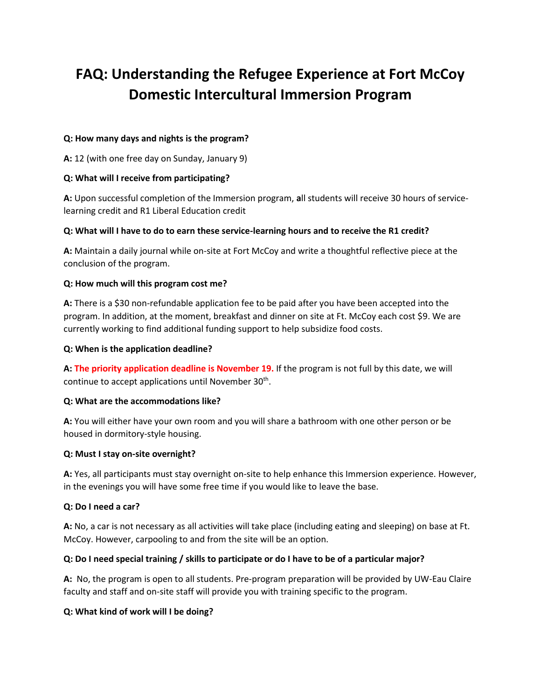# **FAQ: Understanding the Refugee Experience at Fort McCoy Domestic Intercultural Immersion Program**

# **Q: How many days and nights is the program?**

**A:** 12 (with one free day on Sunday, January 9)

# **Q: What will I receive from participating?**

**A:** Upon successful completion of the Immersion program, **a**ll students will receive 30 hours of servicelearning credit and R1 Liberal Education credit

# **Q: What will I have to do to earn these service-learning hours and to receive the R1 credit?**

**A:** Maintain a daily journal while on-site at Fort McCoy and write a thoughtful reflective piece at the conclusion of the program.

# **Q: How much will this program cost me?**

**A:** There is a \$30 non-refundable application fee to be paid after you have been accepted into the program. In addition, at the moment, breakfast and dinner on site at Ft. McCoy each cost \$9. We are currently working to find additional funding support to help subsidize food costs.

# **Q: When is the application deadline?**

**A: The priority application deadline is November 19.** If the program is not full by this date, we will continue to accept applications until November  $30<sup>th</sup>$ .

#### **Q: What are the accommodations like?**

**A:** You will either have your own room and you will share a bathroom with one other person or be housed in dormitory-style housing.

#### **Q: Must I stay on-site overnight?**

**A:** Yes, all participants must stay overnight on-site to help enhance this Immersion experience. However, in the evenings you will have some free time if you would like to leave the base.

#### **Q: Do I need a car?**

**A:** No, a car is not necessary as all activities will take place (including eating and sleeping) on base at Ft. McCoy. However, carpooling to and from the site will be an option.

# **Q: Do I need special training / skills to participate or do I have to be of a particular major?**

**A:** No, the program is open to all students. Pre-program preparation will be provided by UW-Eau Claire faculty and staff and on-site staff will provide you with training specific to the program.

#### **Q: What kind of work will I be doing?**